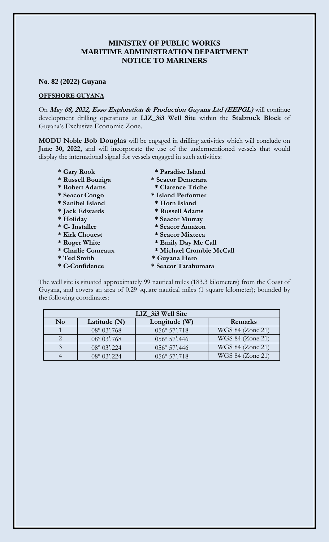## **MINISTRY OF PUBLIC WORKS MARITIME ADMINISTRATION DEPARTMENT NOTICE TO MARINERS**

## **No. 82 (2022) Guyana**

## **OFFSHORE GUYANA**

On **May 08, 2022, Esso Exploration & Production Guyana Ltd (EEPGL)** will continue development drilling operations at **LIZ\_3i3 Well Site** within the **Stabroek Block** of Guyana's Exclusive Economic Zone.

**MODU Noble Bob Douglas** will be engaged in drilling activities which will conclude on **June 30, 2022,** and will incorporate the use of the undermentioned vessels that would display the international signal for vessels engaged in such activities:

- 
- **\* Russell Bouziga \* Seacor Demerara**
- **\* Robert Adams \* Clarence Triche**
- **\* Seacor Congo \* Island Performer**
- **\* Sanibel Island \* Horn Island**
- 
- 
- 
- 
- 
- 
- 
- 
- **\* Gary Rook \* Paradise Island**
	-
	-
	-
	-
- **\* Jack Edwards \* Russell Adams**
- **\* Holiday \* Seacor Murray**
- **\* C- Installer \* Seacor Amazon**
- **\* Kirk Chouest \* Seacor Mixteca**
- **\* Roger White \* Emily Day Mc Call**
- **\* Charlie Comeaux \* Michael Crombie McCall**
- **\* Ted Smith \* Guyana Hero**
- **\* C-Confidence \* Seacor Tarahumara**

The well site is situated approximately 99 nautical miles (183.3 kilometers) from the Coast of Guyana, and covers an area of 0.29 square nautical miles (1 square kilometer); bounded by the following coordinates:

| LIZ 3i3 Well Site      |                          |                        |                  |
|------------------------|--------------------------|------------------------|------------------|
| $\mathbf{N}\mathbf{o}$ | Latitude (N)             | Longitude (W)          | Remarks          |
|                        | $08^{\circ} 03'$ .768    | $056^{\circ} 57'$ .718 | WGS 84 (Zone 21) |
|                        | $08^{\circ} 03'$ .768    | 056° 57'.446           | WGS 84 (Zone 21) |
|                        | $08^{\circ}$ 03'.224     | $056^{\circ}$ 57'.446  | WGS 84 (Zone 21) |
|                        | $08^{\circ}$ $03'$ , 224 | $0.56^\circ 57'$ .718  | WGS 84 (Zone 21) |